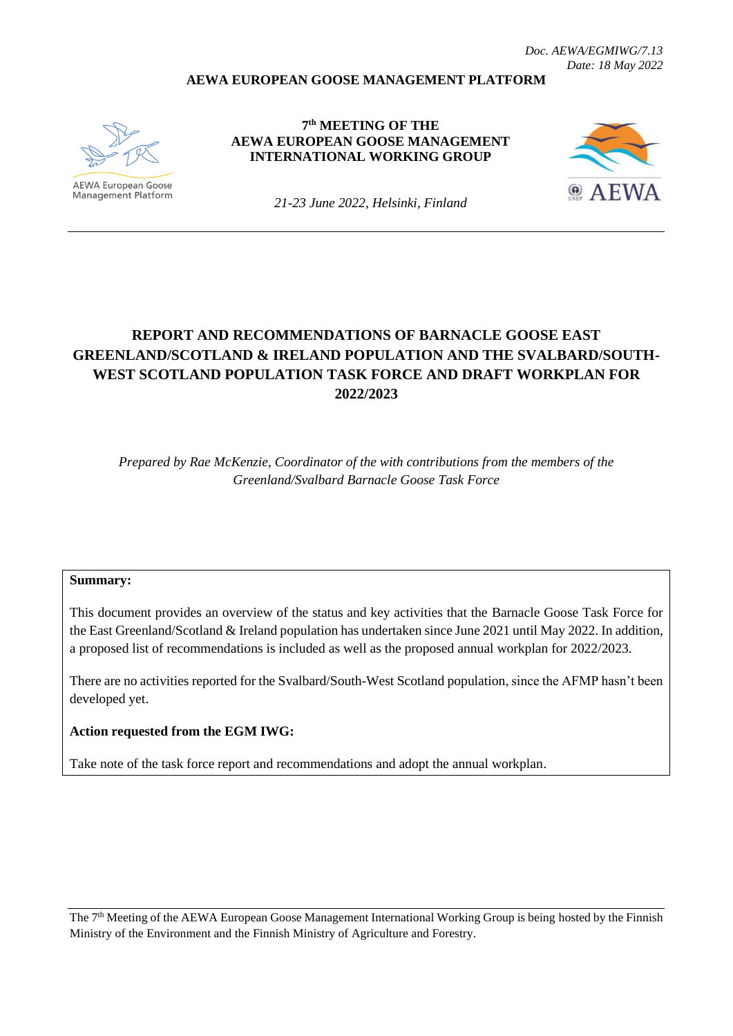### **AEWA EUROPEAN GOOSE MANAGEMENT PLATFORM**



Management Platform

**7 th MEETING OF THE AEWA EUROPEAN GOOSE MANAGEMENT INTERNATIONAL WORKING GROUP**



*21-23 June 2022, Helsinki, Finland*

# **REPORT AND RECOMMENDATIONS OF BARNACLE GOOSE EAST GREENLAND/SCOTLAND & IRELAND POPULATION AND THE SVALBARD/SOUTH-WEST SCOTLAND POPULATION TASK FORCE AND DRAFT WORKPLAN FOR 2022/2023**

*Prepared by Rae McKenzie, Coordinator of the with contributions from the members of the Greenland/Svalbard Barnacle Goose Task Force*

#### **Summary:**

This document provides an overview of the status and key activities that the Barnacle Goose Task Force for the East Greenland/Scotland & Ireland population has undertaken since June 2021 until May 2022. In addition, a proposed list of recommendations is included as well as the proposed annual workplan for 2022/2023.

There are no activities reported for the Svalbard/South-West Scotland population, since the AFMP hasn't been developed yet.

#### **Action requested from the EGM IWG:**

Take note of the task force report and recommendations and adopt the annual workplan.

The 7<sup>th</sup> Meeting of the AEWA European Goose Management International Working Group is being hosted by the Finnish Ministry of the Environment and the Finnish Ministry of Agriculture and Forestry.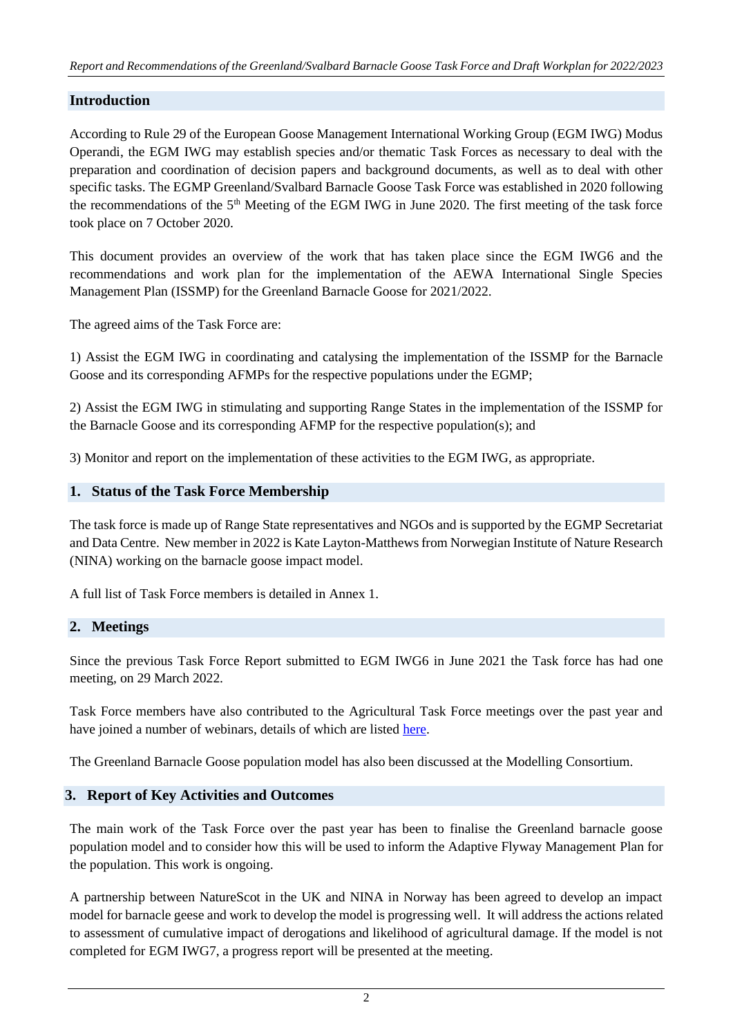## **Introduction**

According to Rule 29 of the European Goose Management International Working Group (EGM IWG) Modus Operandi, the EGM IWG may establish species and/or thematic Task Forces as necessary to deal with the preparation and coordination of decision papers and background documents, as well as to deal with other specific tasks. The EGMP Greenland/Svalbard Barnacle Goose Task Force was established in 2020 following the recommendations of the 5<sup>th</sup> Meeting of the EGM IWG in June 2020. The first meeting of the task force took place on 7 October 2020.

This document provides an overview of the work that has taken place since the EGM IWG6 and the recommendations and work plan for the implementation of the AEWA International Single Species Management Plan (ISSMP) for the Greenland Barnacle Goose for 2021/2022.

The agreed aims of the Task Force are:

1) Assist the EGM IWG in coordinating and catalysing the implementation of the ISSMP for the Barnacle Goose and its corresponding AFMPs for the respective populations under the EGMP;

2) Assist the EGM IWG in stimulating and supporting Range States in the implementation of the ISSMP for the Barnacle Goose and its corresponding AFMP for the respective population(s); and

3) Monitor and report on the implementation of these activities to the EGM IWG, as appropriate.

## **1. Status of the Task Force Membership**

The task force is made up of Range State representatives and NGOs and is supported by the EGMP Secretariat and Data Centre. New member in 2022 is Kate Layton-Matthews from Norwegian Institute of Nature Research (NINA) working on the barnacle goose impact model.

A full list of Task Force members is detailed in Annex 1.

#### **2. Meetings**

Since the previous Task Force Report submitted to EGM IWG6 in June 2021 the Task force has had one meeting, on 29 March 2022.

Task Force members have also contributed to the Agricultural Task Force meetings over the past year and have joined a number of webinars, details of which are listed [here.](https://egmp.aewa.info/meetings/webinars)

The Greenland Barnacle Goose population model has also been discussed at the Modelling Consortium.

## **3. Report of Key Activities and Outcomes**

The main work of the Task Force over the past year has been to finalise the Greenland barnacle goose population model and to consider how this will be used to inform the Adaptive Flyway Management Plan for the population. This work is ongoing.

A partnership between NatureScot in the UK and NINA in Norway has been agreed to develop an impact model for barnacle geese and work to develop the model is progressing well. It will address the actions related to assessment of cumulative impact of derogations and likelihood of agricultural damage. If the model is not completed for EGM IWG7, a progress report will be presented at the meeting.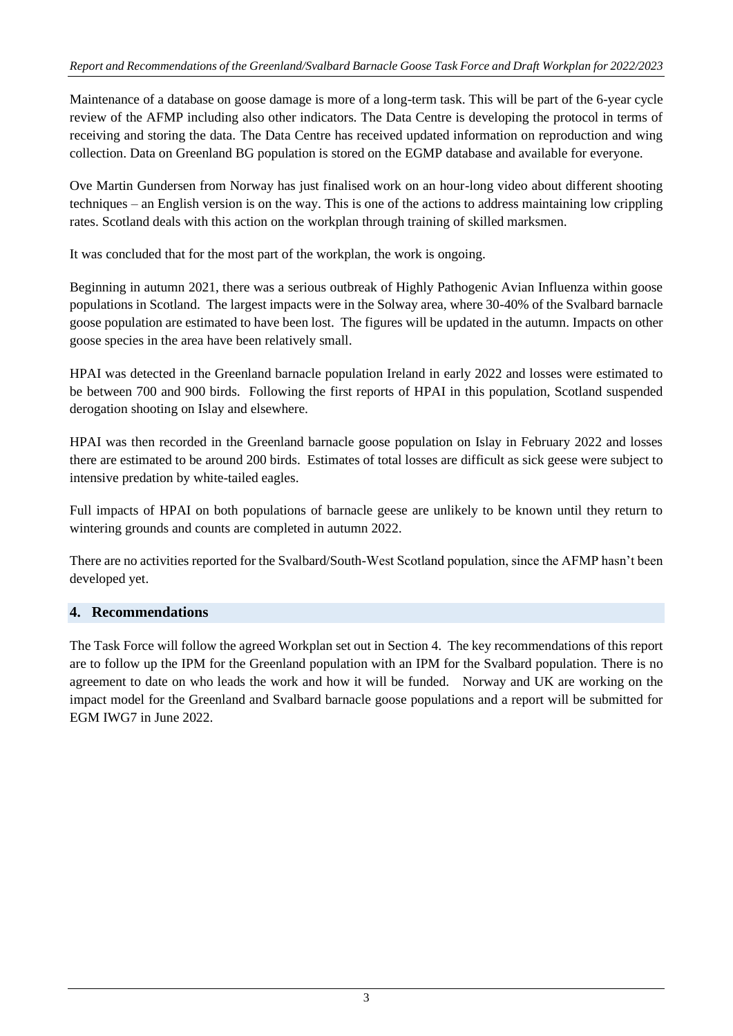Maintenance of a database on goose damage is more of a long-term task. This will be part of the 6-year cycle review of the AFMP including also other indicators. The Data Centre is developing the protocol in terms of receiving and storing the data. The Data Centre has received updated information on reproduction and wing collection. Data on Greenland BG population is stored on the EGMP database and available for everyone.

Ove Martin Gundersen from Norway has just finalised work on an hour-long video about different shooting techniques – an English version is on the way. This is one of the actions to address maintaining low crippling rates. Scotland deals with this action on the workplan through training of skilled marksmen.

It was concluded that for the most part of the workplan, the work is ongoing.

Beginning in autumn 2021, there was a serious outbreak of Highly Pathogenic Avian Influenza within goose populations in Scotland. The largest impacts were in the Solway area, where 30-40% of the Svalbard barnacle goose population are estimated to have been lost. The figures will be updated in the autumn. Impacts on other goose species in the area have been relatively small.

HPAI was detected in the Greenland barnacle population Ireland in early 2022 and losses were estimated to be between 700 and 900 birds. Following the first reports of HPAI in this population, Scotland suspended derogation shooting on Islay and elsewhere.

HPAI was then recorded in the Greenland barnacle goose population on Islay in February 2022 and losses there are estimated to be around 200 birds. Estimates of total losses are difficult as sick geese were subject to intensive predation by white-tailed eagles.

Full impacts of HPAI on both populations of barnacle geese are unlikely to be known until they return to wintering grounds and counts are completed in autumn 2022.

There are no activities reported for the Svalbard/South-West Scotland population, since the AFMP hasn't been developed yet.

## **4. Recommendations**

The Task Force will follow the agreed Workplan set out in Section 4. The key recommendations of this report are to follow up the IPM for the Greenland population with an IPM for the Svalbard population. There is no agreement to date on who leads the work and how it will be funded. Norway and UK are working on the impact model for the Greenland and Svalbard barnacle goose populations and a report will be submitted for EGM IWG7 in June 2022.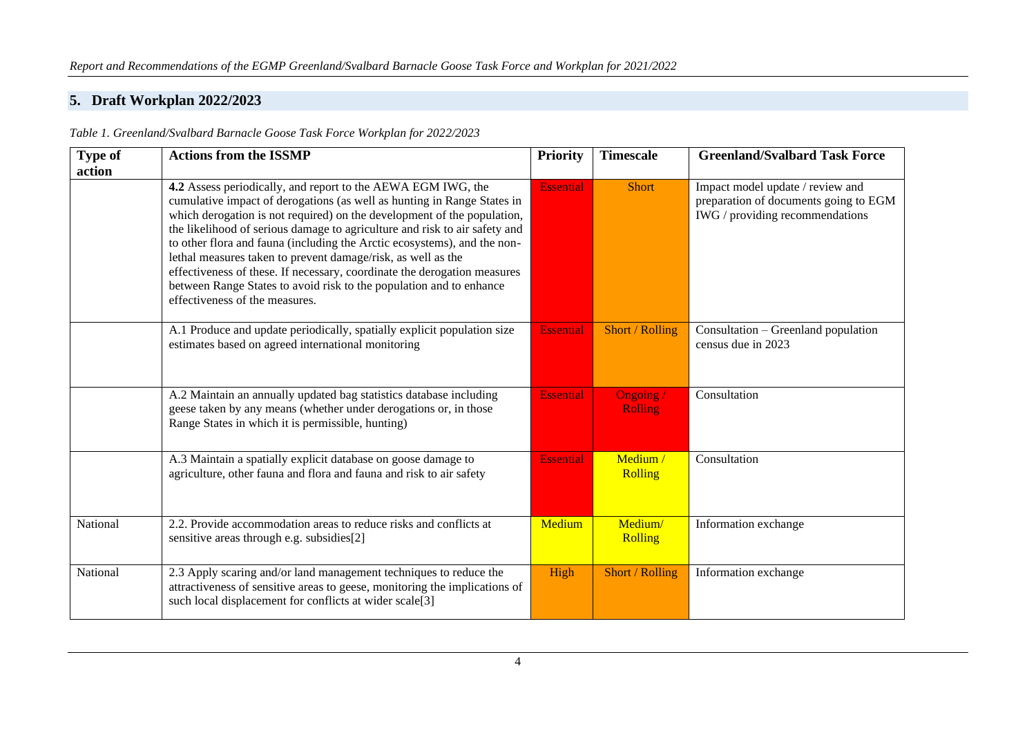# **5. Draft Workplan 2022/2023**

| <b>Type of</b> | <b>Actions from the ISSMP</b>                                                                                                                                                                                                                                                                                                                                                                                                                                                                                                                                                                                                     | <b>Priority</b>  | <b>Timescale</b>            | <b>Greenland/Svalbard Task Force</b>                                                                         |
|----------------|-----------------------------------------------------------------------------------------------------------------------------------------------------------------------------------------------------------------------------------------------------------------------------------------------------------------------------------------------------------------------------------------------------------------------------------------------------------------------------------------------------------------------------------------------------------------------------------------------------------------------------------|------------------|-----------------------------|--------------------------------------------------------------------------------------------------------------|
| action         | 4.2 Assess periodically, and report to the AEWA EGM IWG, the<br>cumulative impact of derogations (as well as hunting in Range States in<br>which derogation is not required) on the development of the population,<br>the likelihood of serious damage to agriculture and risk to air safety and<br>to other flora and fauna (including the Arctic ecosystems), and the non-<br>lethal measures taken to prevent damage/risk, as well as the<br>effectiveness of these. If necessary, coordinate the derogation measures<br>between Range States to avoid risk to the population and to enhance<br>effectiveness of the measures. | <b>Essential</b> | <b>Short</b>                | Impact model update / review and<br>preparation of documents going to EGM<br>IWG / providing recommendations |
|                | A.1 Produce and update periodically, spatially explicit population size<br>estimates based on agreed international monitoring                                                                                                                                                                                                                                                                                                                                                                                                                                                                                                     | <b>Essential</b> | Short / Rolling             | Consultation – Greenland population<br>census due in 2023                                                    |
|                | A.2 Maintain an annually updated bag statistics database including<br>geese taken by any means (whether under derogations or, in those<br>Range States in which it is permissible, hunting)                                                                                                                                                                                                                                                                                                                                                                                                                                       | <b>Essential</b> | Ongoing /<br><b>Rolling</b> | Consultation                                                                                                 |
|                | A.3 Maintain a spatially explicit database on goose damage to<br>agriculture, other fauna and flora and fauna and risk to air safety                                                                                                                                                                                                                                                                                                                                                                                                                                                                                              | <b>Essential</b> | Medium /<br><b>Rolling</b>  | Consultation                                                                                                 |
| National       | 2.2. Provide accommodation areas to reduce risks and conflicts at<br>sensitive areas through e.g. subsidies[2]                                                                                                                                                                                                                                                                                                                                                                                                                                                                                                                    | Medium           | Medium/<br>Rolling          | Information exchange                                                                                         |
| National       | 2.3 Apply scaring and/or land management techniques to reduce the<br>attractiveness of sensitive areas to geese, monitoring the implications of<br>such local displacement for conflicts at wider scale[3]                                                                                                                                                                                                                                                                                                                                                                                                                        | High             | Short / Rolling             | Information exchange                                                                                         |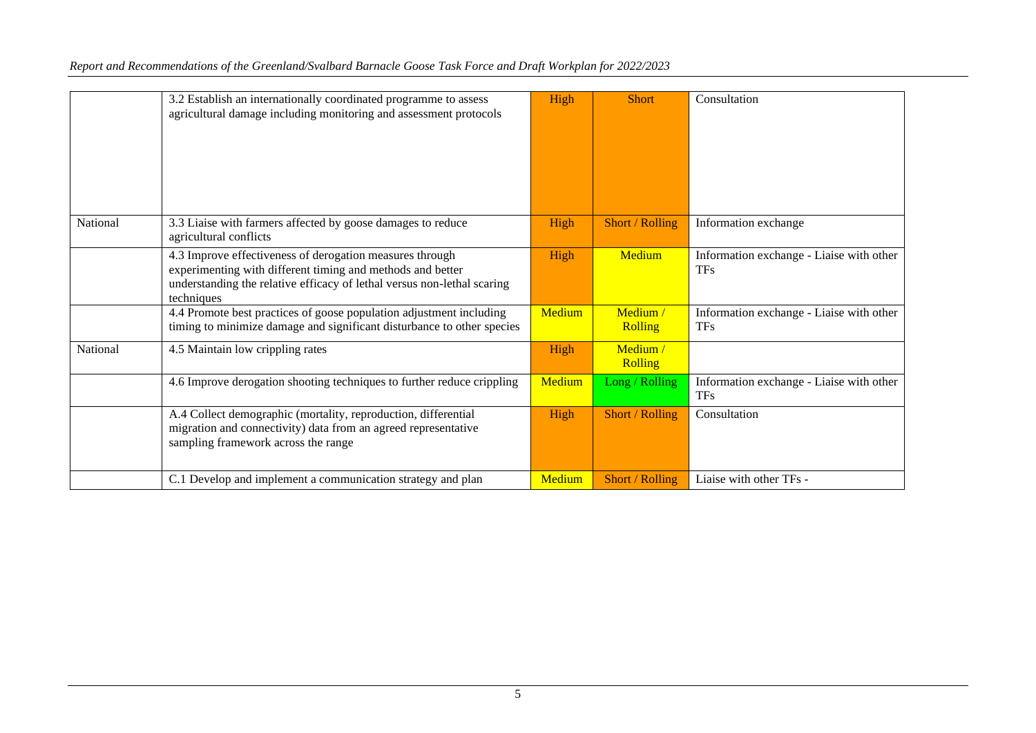|          | 3.2 Establish an internationally coordinated programme to assess<br>agricultural damage including monitoring and assessment protocols                                                                           | High          | <b>Short</b>               | Consultation                                           |
|----------|-----------------------------------------------------------------------------------------------------------------------------------------------------------------------------------------------------------------|---------------|----------------------------|--------------------------------------------------------|
| National | 3.3 Liaise with farmers affected by goose damages to reduce<br>agricultural conflicts                                                                                                                           | High          | Short / Rolling            | Information exchange                                   |
|          | 4.3 Improve effectiveness of derogation measures through<br>experimenting with different timing and methods and better<br>understanding the relative efficacy of lethal versus non-lethal scaring<br>techniques | High          | Medium                     | Information exchange - Liaise with other<br><b>TFs</b> |
|          | 4.4 Promote best practices of goose population adjustment including<br>timing to minimize damage and significant disturbance to other species                                                                   | Medium        | Medium /<br><b>Rolling</b> | Information exchange - Liaise with other<br><b>TFs</b> |
| National | 4.5 Maintain low crippling rates                                                                                                                                                                                | High          | Medium /<br><b>Rolling</b> |                                                        |
|          | 4.6 Improve derogation shooting techniques to further reduce crippling                                                                                                                                          | <b>Medium</b> | Long / Rolling             | Information exchange - Liaise with other<br><b>TFs</b> |
|          | A.4 Collect demographic (mortality, reproduction, differential<br>migration and connectivity) data from an agreed representative<br>sampling framework across the range                                         | High          | Short / Rolling            | Consultation                                           |
|          | C.1 Develop and implement a communication strategy and plan                                                                                                                                                     | Medium        | Short / Rolling            | Liaise with other TFs -                                |

### *Report and Recommendations of the Greenland/Svalbard Barnacle Goose Task Force and Draft Workplan for 2022/2023*